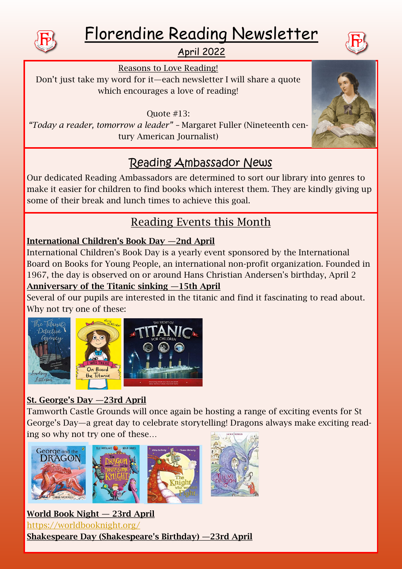

# Florendine Reading Newsletter



# April 2022

Reasons to Love Reading!

Don't just take my word for it—each newsletter I will share a quote which encourages a love of reading!

Quote #13:

*"Today a reader, tomorrow a leader" –* Margaret Fuller (Nineteenth century American Journalist)

# Reading Ambassador News

Our dedicated Reading Ambassadors are determined to sort our library into genres to make it easier for children to find books which interest them. They are kindly giving up some of their break and lunch times to achieve this goal.

# Reading Events this Month

## International Children's Book Day —2nd April

International Children's Book Day is a yearly event sponsored by the International Board on Books for Young People, an international non-profit organization. Founded in 1967, the day is observed on or around Hans Christian Andersen's birthday, April 2 Anniversary of the Titanic sinking —15th April

Several of our pupils are interested in the titanic and find it fascinating to read about. Why not try one of these:



## St. George's Day —23rd April

Tamworth Castle Grounds will once again be hosting a range of exciting events for St George's Day—a great day to celebrate storytelling! Dragons always make exciting reading so why not try one of these…



World Book Night — 23rd April <https://worldbooknight.org/> Shakespeare Day (Shakespeare's Birthday) —23rd April